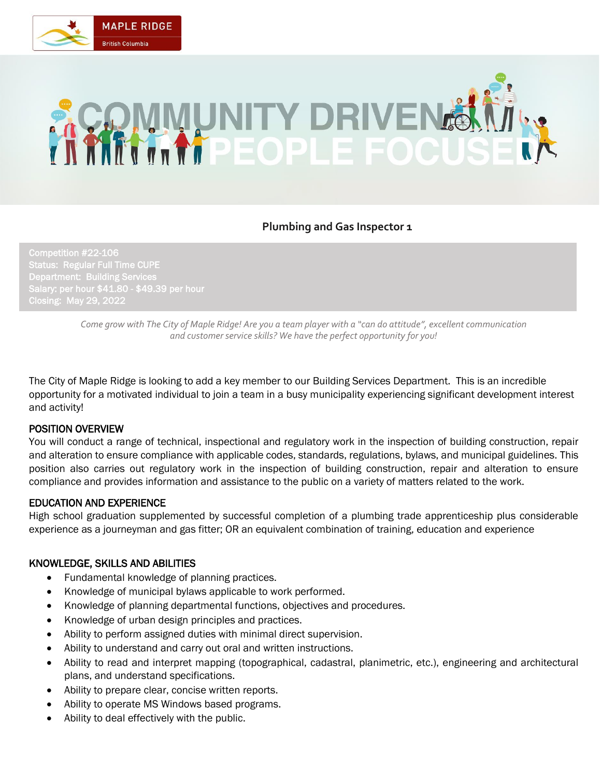



# **Plumbing and Gas Inspector 1**

Competition #22-106 Status: Regular Full Time CUPE Department: Building Services Salary: per hour \$41.80 - \$49.39 per hour Closing: May 29, 2022

> *Come grow with The City of Maple Ridge! Are you a team player with a "can do attitude", excellent communication and customer service skills? We have the perfect opportunity for you!*

The City of Maple Ridge is looking to add a key member to our Building Services Department. This is an incredible opportunity for a motivated individual to join a team in a busy municipality experiencing significant development interest and activity!

#### POSITION OVERVIEW

You will conduct a range of technical, inspectional and regulatory work in the inspection of building construction, repair and alteration to ensure compliance with applicable codes, standards, regulations, bylaws, and municipal guidelines. This position also carries out regulatory work in the inspection of building construction, repair and alteration to ensure compliance and provides information and assistance to the public on a variety of matters related to the work.

#### EDUCATION AND EXPERIENCE

High school graduation supplemented by successful completion of a plumbing trade apprenticeship plus considerable experience as a journeyman and gas fitter; OR an equivalent combination of training, education and experience

#### KNOWLEDGE, SKILLS AND ABILITIES

- Fundamental knowledge of planning practices.
- Knowledge of municipal bylaws applicable to work performed.
- Knowledge of planning departmental functions, objectives and procedures.
- Knowledge of urban design principles and practices.
- Ability to perform assigned duties with minimal direct supervision.
- Ability to understand and carry out oral and written instructions.
- Ability to read and interpret mapping (topographical, cadastral, planimetric, etc.), engineering and architectural plans, and understand specifications.
- Ability to prepare clear, concise written reports.
- Ability to operate MS Windows based programs.
- Ability to deal effectively with the public.